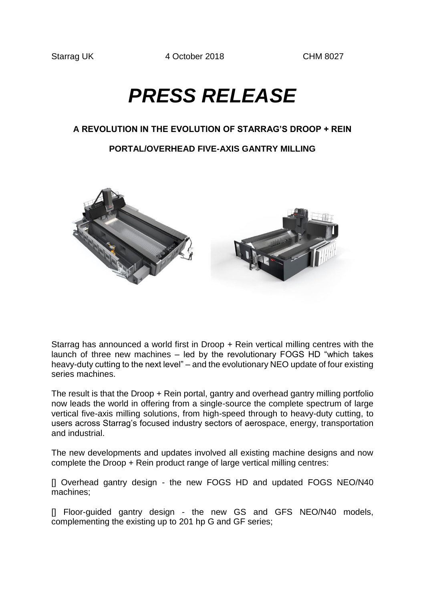Starrag UK 4 October 2018 CHM 8027

# *PRESS RELEASE*

## **A REVOLUTION IN THE EVOLUTION OF STARRAG'S DROOP + REIN**

## **PORTAL/OVERHEAD FIVE-AXIS GANTRY MILLING**



Starrag has announced a world first in Droop + Rein vertical milling centres with the launch of three new machines – led by the revolutionary FOGS HD "which takes heavy-duty cutting to the next level" – and the evolutionary NEO update of four existing series machines.

The result is that the Droop + Rein portal, gantry and overhead gantry milling portfolio now leads the world in offering from a single-source the complete spectrum of large vertical five-axis milling solutions, from high-speed through to heavy-duty cutting, to users across Starrag's focused industry sectors of aerospace, energy, transportation and industrial.

The new developments and updates involved all existing machine designs and now complete the Droop + Rein product range of large vertical milling centres:

[] Overhead gantry design - the new FOGS HD and updated FOGS NEO/N40 machines;

[] Floor-guided gantry design - the new GS and GFS NEO/N40 models, complementing the existing up to 201 hp G and GF series;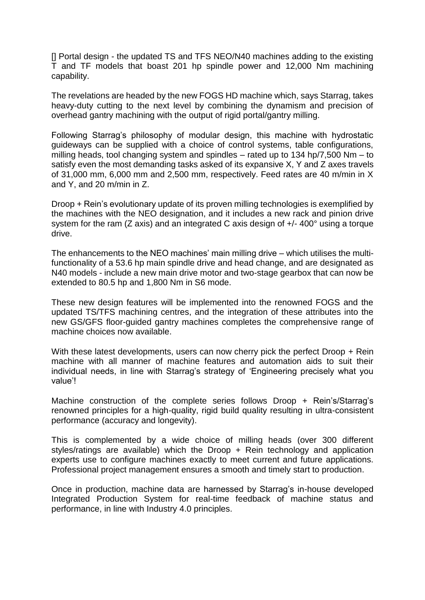[] Portal design - the updated TS and TFS NEO/N40 machines adding to the existing T and TF models that boast 201 hp spindle power and 12,000 Nm machining capability.

The revelations are headed by the new FOGS HD machine which, says Starrag, takes heavy-duty cutting to the next level by combining the dynamism and precision of overhead gantry machining with the output of rigid portal/gantry milling.

Following Starrag's philosophy of modular design, this machine with hydrostatic guideways can be supplied with a choice of control systems, table configurations, milling heads, tool changing system and spindles – rated up to 134 hp/7,500 Nm – to satisfy even the most demanding tasks asked of its expansive X, Y and Z axes travels of 31,000 mm, 6,000 mm and 2,500 mm, respectively. Feed rates are 40 m/min in X and Y, and 20 m/min in Z.

Droop + Rein's evolutionary update of its proven milling technologies is exemplified by the machines with the NEO designation, and it includes a new rack and pinion drive system for the ram (Z axis) and an integrated C axis design of +/- 400° using a torque drive.

The enhancements to the NEO machines' main milling drive – which utilises the multifunctionality of a 53.6 hp main spindle drive and head change, and are designated as N40 models - include a new main drive motor and two-stage gearbox that can now be extended to 80.5 hp and 1,800 Nm in S6 mode.

These new design features will be implemented into the renowned FOGS and the updated TS/TFS machining centres, and the integration of these attributes into the new GS/GFS floor-guided gantry machines completes the comprehensive range of machine choices now available.

With these latest developments, users can now cherry pick the perfect Droop + Rein machine with all manner of machine features and automation aids to suit their individual needs, in line with Starrag's strategy of 'Engineering precisely what you value'!

Machine construction of the complete series follows Droop + Rein's/Starrag's renowned principles for a high-quality, rigid build quality resulting in ultra-consistent performance (accuracy and longevity).

This is complemented by a wide choice of milling heads (over 300 different styles/ratings are available) which the Droop + Rein technology and application experts use to configure machines exactly to meet current and future applications. Professional project management ensures a smooth and timely start to production.

Once in production, machine data are harnessed by Starrag's in-house developed Integrated Production System for real-time feedback of machine status and performance, in line with Industry 4.0 principles.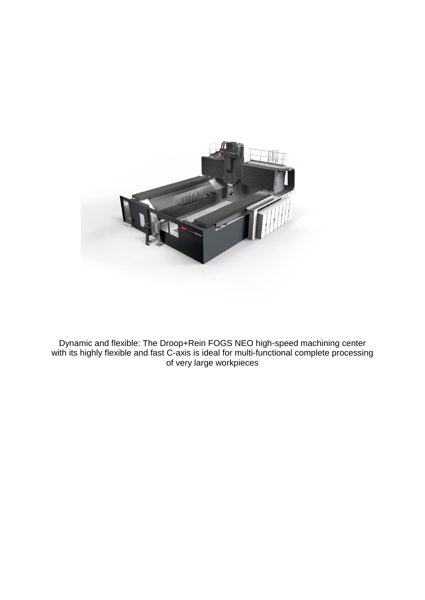

Dynamic and flexible: The Droop+Rein FOGS NEO high-speed machining center with its highly flexible and fast C-axis is ideal for multi-functional complete processing of very large workpieces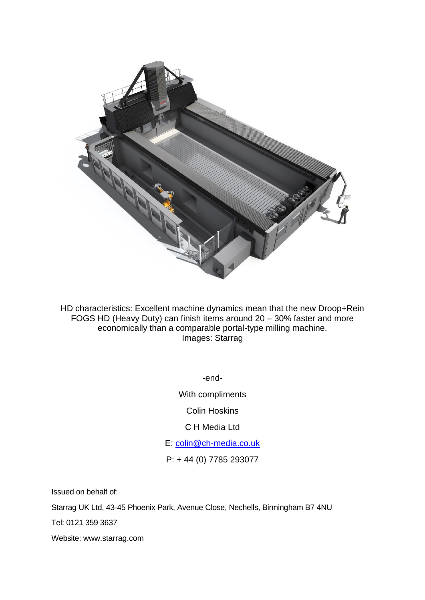

HD characteristics: Excellent machine dynamics mean that the new Droop+Rein FOGS HD (Heavy Duty) can finish items around 20 – 30% faster and more economically than a comparable portal-type milling machine. Images: Starrag

-end-

With compliments

Colin Hoskins

C H Media Ltd

E: [colin@ch-media.co.uk](mailto:colin@ch-media.co.uk)

P: + 44 (0) 7785 293077

Issued on behalf of:

Starrag UK Ltd, 43-45 Phoenix Park, Avenue Close, Nechells, Birmingham B7 4NU

Tel: 0121 359 3637

Website: www.starrag.com